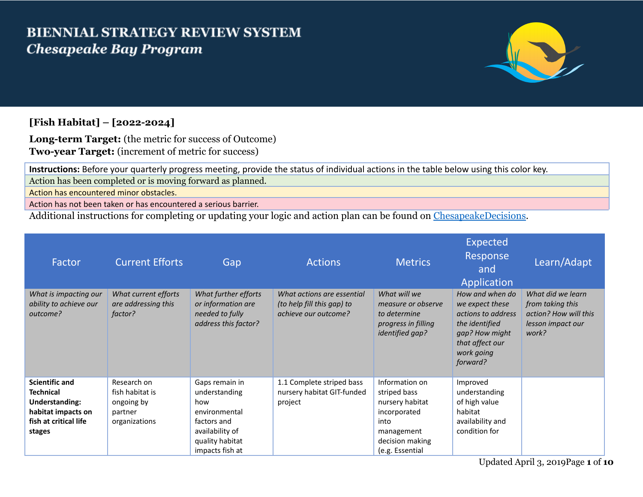## **BIENNIAL STRATEGY REVIEW SYSTEM Chesapeake Bay Program**



## **[Fish Habitat] – [2022-2024]**

**Long-term Target:** (the metric for success of Outcome) **Two-year Target:** (increment of metric for success)

**Instructions:** Before your quarterly progress meeting, provide the status of individual actions in the table below using this color key. Action has been completed or is moving forward as planned.

Action has encountered minor obstacles.

Action has not been taken or has encountered a serious barrier.

Additional instructions for completing or updating your logic and action plan can be found on [ChesapeakeDecisions.](http://www.chesapeakebay.net/decisions/srs-guide)

| Factor                                                                                                                      | <b>Current Efforts</b>                                                   | Gap                                                                                                                             | <b>Actions</b>                                                                   | <b>Metrics</b>                                                                                                                | Expected<br>Response<br>and<br>Application                                                                                                | Learn/Adapt                                                                                  |
|-----------------------------------------------------------------------------------------------------------------------------|--------------------------------------------------------------------------|---------------------------------------------------------------------------------------------------------------------------------|----------------------------------------------------------------------------------|-------------------------------------------------------------------------------------------------------------------------------|-------------------------------------------------------------------------------------------------------------------------------------------|----------------------------------------------------------------------------------------------|
| What is impacting our<br>ability to achieve our<br>outcome?                                                                 | What current efforts<br>are addressing this<br>factor?                   | What further efforts<br>or information are<br>needed to fully<br>address this factor?                                           | What actions are essential<br>(to help fill this gap) to<br>achieve our outcome? | What will we<br>measure or observe<br>to determine<br>progress in filling<br>identified gap?                                  | How and when do<br>we expect these<br>actions to address<br>the identified<br>gap? How might<br>that affect our<br>work going<br>forward? | What did we learn<br>from taking this<br>action? How will this<br>lesson impact our<br>work? |
| <b>Scientific and</b><br><b>Technical</b><br><b>Understanding:</b><br>habitat impacts on<br>fish at critical life<br>stages | Research on<br>fish habitat is<br>ongoing by<br>partner<br>organizations | Gaps remain in<br>understanding<br>how<br>environmental<br>factors and<br>availability of<br>quality habitat<br>impacts fish at | 1.1 Complete striped bass<br>nursery habitat GIT-funded<br>project               | Information on<br>striped bass<br>nursery habitat<br>incorporated<br>into<br>management<br>decision making<br>(e.g. Essential | Improved<br>understanding<br>of high value<br>habitat<br>availability and<br>condition for                                                |                                                                                              |

Updated April 3, 2019Page **1** of **10**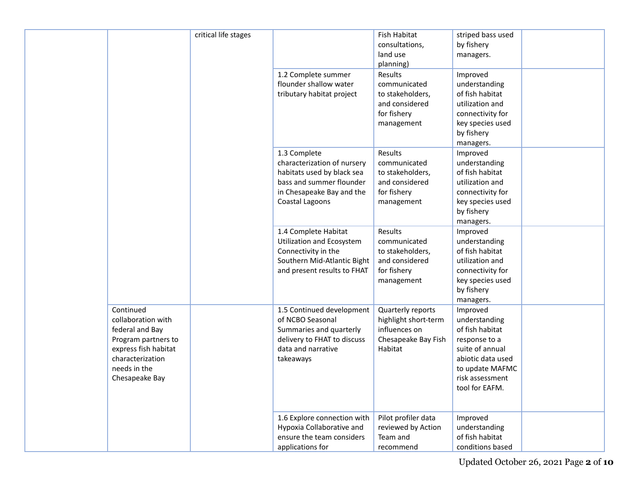|                                                                                                                                                         | critical life stages | 1.2 Complete summer                                                                                                                                   | Fish Habitat<br>consultations,<br>land use<br>planning)<br>Results                           | striped bass used<br>by fishery<br>managers.<br>Improved                                                                                                      |
|---------------------------------------------------------------------------------------------------------------------------------------------------------|----------------------|-------------------------------------------------------------------------------------------------------------------------------------------------------|----------------------------------------------------------------------------------------------|---------------------------------------------------------------------------------------------------------------------------------------------------------------|
|                                                                                                                                                         |                      | flounder shallow water<br>tributary habitat project                                                                                                   | communicated<br>to stakeholders,<br>and considered<br>for fishery<br>management              | understanding<br>of fish habitat<br>utilization and<br>connectivity for<br>key species used<br>by fishery<br>managers.                                        |
|                                                                                                                                                         |                      | 1.3 Complete<br>characterization of nursery<br>habitats used by black sea<br>bass and summer flounder<br>in Chesapeake Bay and the<br>Coastal Lagoons | Results<br>communicated<br>to stakeholders,<br>and considered<br>for fishery<br>management   | Improved<br>understanding<br>of fish habitat<br>utilization and<br>connectivity for<br>key species used<br>by fishery<br>managers.                            |
|                                                                                                                                                         |                      | 1.4 Complete Habitat<br><b>Utilization and Ecosystem</b><br>Connectivity in the<br>Southern Mid-Atlantic Bight<br>and present results to FHAT         | Results<br>communicated<br>to stakeholders,<br>and considered<br>for fishery<br>management   | Improved<br>understanding<br>of fish habitat<br>utilization and<br>connectivity for<br>key species used<br>by fishery<br>managers.                            |
| Continued<br>collaboration with<br>federal and Bay<br>Program partners to<br>express fish habitat<br>characterization<br>needs in the<br>Chesapeake Bay |                      | 1.5 Continued development<br>of NCBO Seasonal<br>Summaries and quarterly<br>delivery to FHAT to discuss<br>data and narrative<br>takeaways            | Quarterly reports<br>highlight short-term<br>influences on<br>Chesapeake Bay Fish<br>Habitat | Improved<br>understanding<br>of fish habitat<br>response to a<br>suite of annual<br>abiotic data used<br>to update MAFMC<br>risk assessment<br>tool for EAFM. |
|                                                                                                                                                         |                      | 1.6 Explore connection with<br>Hypoxia Collaborative and<br>ensure the team considers<br>applications for                                             | Pilot profiler data<br>reviewed by Action<br>Team and<br>recommend                           | Improved<br>understanding<br>of fish habitat<br>conditions based                                                                                              |

Updated October 26, 2021 Page **2** of **10**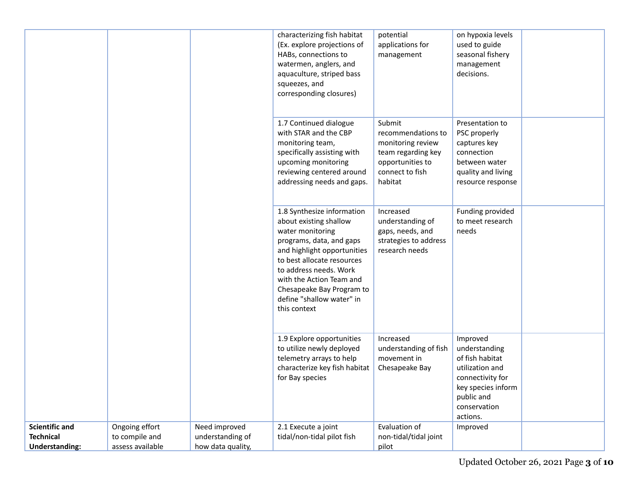|                                                                    |                                                      |                                                        | characterizing fish habitat<br>(Ex. explore projections of<br>HABs, connections to<br>watermen, anglers, and<br>aquaculture, striped bass<br>squeezes, and<br>corresponding closures)                                                                                                             | potential<br>applications for<br>management                                                                               | on hypoxia levels<br>used to guide<br>seasonal fishery<br>management<br>decisions.                                                                  |  |
|--------------------------------------------------------------------|------------------------------------------------------|--------------------------------------------------------|---------------------------------------------------------------------------------------------------------------------------------------------------------------------------------------------------------------------------------------------------------------------------------------------------|---------------------------------------------------------------------------------------------------------------------------|-----------------------------------------------------------------------------------------------------------------------------------------------------|--|
|                                                                    |                                                      |                                                        | 1.7 Continued dialogue<br>with STAR and the CBP<br>monitoring team,<br>specifically assisting with<br>upcoming monitoring<br>reviewing centered around<br>addressing needs and gaps.                                                                                                              | Submit<br>recommendations to<br>monitoring review<br>team regarding key<br>opportunities to<br>connect to fish<br>habitat | Presentation to<br>PSC properly<br>captures key<br>connection<br>between water<br>quality and living<br>resource response                           |  |
|                                                                    |                                                      |                                                        | 1.8 Synthesize information<br>about existing shallow<br>water monitoring<br>programs, data, and gaps<br>and highlight opportunities<br>to best allocate resources<br>to address needs. Work<br>with the Action Team and<br>Chesapeake Bay Program to<br>define "shallow water" in<br>this context | Increased<br>understanding of<br>gaps, needs, and<br>strategies to address<br>research needs                              | Funding provided<br>to meet research<br>needs                                                                                                       |  |
|                                                                    |                                                      |                                                        | 1.9 Explore opportunities<br>to utilize newly deployed<br>telemetry arrays to help<br>characterize key fish habitat<br>for Bay species                                                                                                                                                            | Increased<br>understanding of fish<br>movement in<br>Chesapeake Bay                                                       | Improved<br>understanding<br>of fish habitat<br>utilization and<br>connectivity for<br>key species inform<br>public and<br>conservation<br>actions. |  |
| <b>Scientific and</b><br><b>Technical</b><br><b>Understanding:</b> | Ongoing effort<br>to compile and<br>assess available | Need improved<br>understanding of<br>how data quality, | 2.1 Execute a joint<br>tidal/non-tidal pilot fish                                                                                                                                                                                                                                                 | Evaluation of<br>non-tidal/tidal joint<br>pilot                                                                           | Improved                                                                                                                                            |  |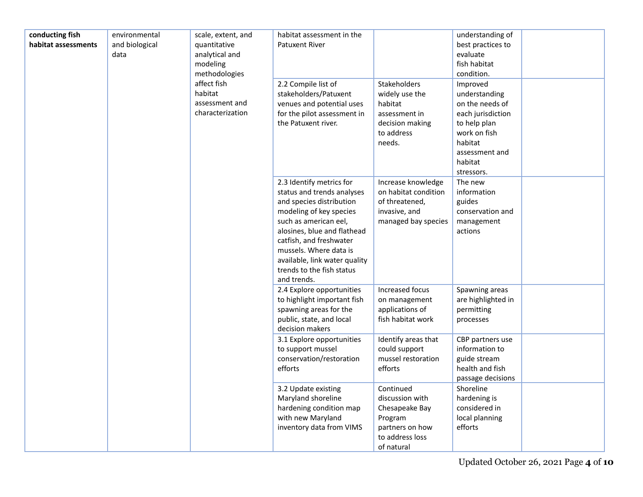| conducting fish<br>habitat assessments | environmental<br>and biological<br>data | scale, extent, and<br>quantitative<br>analytical and<br>modeling<br>methodologies<br>affect fish<br>habitat<br>assessment and<br>characterization | habitat assessment in the<br><b>Patuxent River</b><br>2.2 Compile list of<br>stakeholders/Patuxent<br>venues and potential uses<br>for the pilot assessment in<br>the Patuxent river.                                                                                                                   | <b>Stakeholders</b><br>widely use the<br>habitat<br>assessment in<br>decision making<br>to address<br>needs.  | understanding of<br>best practices to<br>evaluate<br>fish habitat<br>condition.<br>Improved<br>understanding<br>on the needs of<br>each jurisdiction<br>to help plan<br>work on fish<br>habitat<br>assessment and<br>habitat<br>stressors. |  |
|----------------------------------------|-----------------------------------------|---------------------------------------------------------------------------------------------------------------------------------------------------|---------------------------------------------------------------------------------------------------------------------------------------------------------------------------------------------------------------------------------------------------------------------------------------------------------|---------------------------------------------------------------------------------------------------------------|--------------------------------------------------------------------------------------------------------------------------------------------------------------------------------------------------------------------------------------------|--|
|                                        |                                         |                                                                                                                                                   | 2.3 Identify metrics for<br>status and trends analyses<br>and species distribution<br>modeling of key species<br>such as american eel,<br>alosines, blue and flathead<br>catfish, and freshwater<br>mussels. Where data is<br>available, link water quality<br>trends to the fish status<br>and trends. | Increase knowledge<br>on habitat condition<br>of threatened,<br>invasive, and<br>managed bay species          | The new<br>information<br>guides<br>conservation and<br>management<br>actions                                                                                                                                                              |  |
|                                        |                                         |                                                                                                                                                   | 2.4 Explore opportunities<br>to highlight important fish<br>spawning areas for the<br>public, state, and local<br>decision makers                                                                                                                                                                       | Increased focus<br>on management<br>applications of<br>fish habitat work                                      | Spawning areas<br>are highlighted in<br>permitting<br>processes                                                                                                                                                                            |  |
|                                        |                                         |                                                                                                                                                   | 3.1 Explore opportunities<br>to support mussel<br>conservation/restoration<br>efforts                                                                                                                                                                                                                   | Identify areas that<br>could support<br>mussel restoration<br>efforts                                         | CBP partners use<br>information to<br>guide stream<br>health and fish<br>passage decisions                                                                                                                                                 |  |
|                                        |                                         |                                                                                                                                                   | 3.2 Update existing<br>Maryland shoreline<br>hardening condition map<br>with new Maryland<br>inventory data from VIMS                                                                                                                                                                                   | Continued<br>discussion with<br>Chesapeake Bay<br>Program<br>partners on how<br>to address loss<br>of natural | Shoreline<br>hardening is<br>considered in<br>local planning<br>efforts                                                                                                                                                                    |  |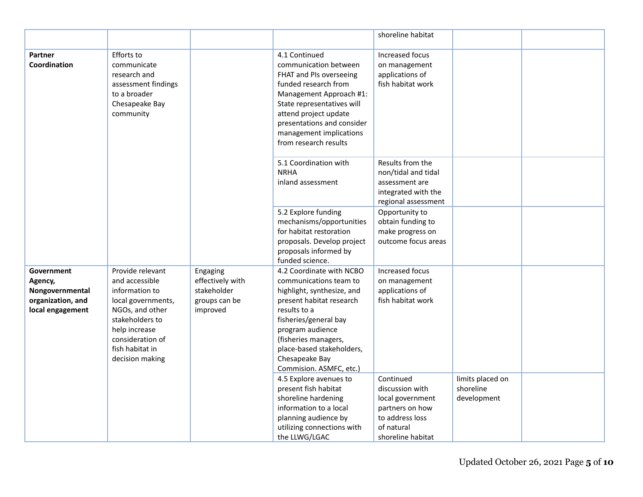|                                                                                   |                                                                                                                                                                                             |                                                                          |                                                                                                                                                                                                                                                                             | shoreline habitat                                                                                                         |                                              |  |
|-----------------------------------------------------------------------------------|---------------------------------------------------------------------------------------------------------------------------------------------------------------------------------------------|--------------------------------------------------------------------------|-----------------------------------------------------------------------------------------------------------------------------------------------------------------------------------------------------------------------------------------------------------------------------|---------------------------------------------------------------------------------------------------------------------------|----------------------------------------------|--|
| <b>Partner</b><br>Coordination                                                    | Efforts to<br>communicate<br>research and<br>assessment findings<br>to a broader<br>Chesapeake Bay<br>community                                                                             |                                                                          | 4.1 Continued<br>communication between<br>FHAT and PIs overseeing<br>funded research from<br>Management Approach #1:<br>State representatives will<br>attend project update<br>presentations and consider<br>management implications<br>from research results               | Increased focus<br>on management<br>applications of<br>fish habitat work                                                  |                                              |  |
|                                                                                   |                                                                                                                                                                                             |                                                                          | 5.1 Coordination with<br><b>NRHA</b><br>inland assessment                                                                                                                                                                                                                   | Results from the<br>non/tidal and tidal<br>assessment are<br>integrated with the<br>regional assessment                   |                                              |  |
|                                                                                   |                                                                                                                                                                                             |                                                                          | 5.2 Explore funding<br>mechanisms/opportunities<br>for habitat restoration<br>proposals. Develop project<br>proposals informed by<br>funded science.                                                                                                                        | Opportunity to<br>obtain funding to<br>make progress on<br>outcome focus areas                                            |                                              |  |
| Government<br>Agency,<br>Nongovernmental<br>organization, and<br>local engagement | Provide relevant<br>and accessible<br>information to<br>local governments,<br>NGOs, and other<br>stakeholders to<br>help increase<br>consideration of<br>fish habitat in<br>decision making | Engaging<br>effectively with<br>stakeholder<br>groups can be<br>improved | 4.2 Coordinate with NCBO<br>communications team to<br>highlight, synthesize, and<br>present habitat research<br>results to a<br>fisheries/general bay<br>program audience<br>(fisheries managers,<br>place-based stakeholders,<br>Chesapeake Bay<br>Commision. ASMFC, etc.) | Increased focus<br>on management<br>applications of<br>fish habitat work                                                  |                                              |  |
|                                                                                   |                                                                                                                                                                                             |                                                                          | 4.5 Explore avenues to<br>present fish habitat<br>shoreline hardening<br>information to a local<br>planning audience by<br>utilizing connections with<br>the LLWG/LGAC                                                                                                      | Continued<br>discussion with<br>local government<br>partners on how<br>to address loss<br>of natural<br>shoreline habitat | limits placed on<br>shoreline<br>development |  |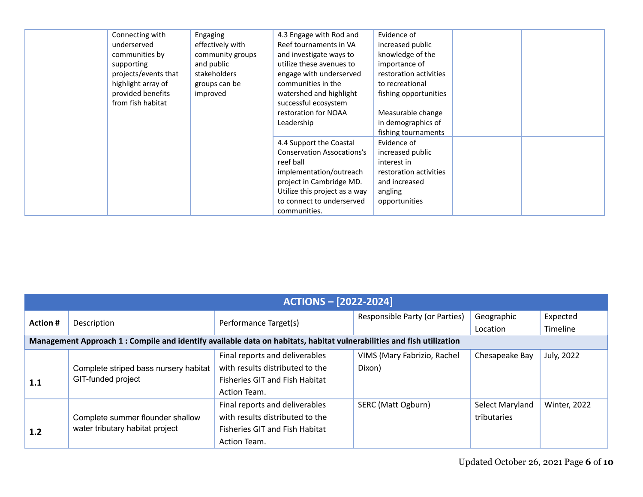| Connecting with<br>underserved<br>communities by<br>supporting<br>projects/events that<br>highlight array of<br>provided benefits<br>from fish habitat | Engaging<br>effectively with<br>community groups<br>and public<br>stakeholders<br>groups can be<br>improved | 4.3 Engage with Rod and<br>Reef tournaments in VA<br>and investigate ways to<br>utilize these avenues to<br>engage with underserved<br>communities in the<br>watershed and highlight<br>successful ecosystem<br>restoration for NOAA<br>Leadership | Evidence of<br>increased public<br>knowledge of the<br>importance of<br>restoration activities<br>to recreational<br>fishing opportunities<br>Measurable change<br>in demographics of<br>fishing tournaments |  |
|--------------------------------------------------------------------------------------------------------------------------------------------------------|-------------------------------------------------------------------------------------------------------------|----------------------------------------------------------------------------------------------------------------------------------------------------------------------------------------------------------------------------------------------------|--------------------------------------------------------------------------------------------------------------------------------------------------------------------------------------------------------------|--|
|                                                                                                                                                        |                                                                                                             | 4.4 Support the Coastal<br><b>Conservation Assocations's</b><br>reef ball<br>implementation/outreach<br>project in Cambridge MD.<br>Utilize this project as a way<br>to connect to underserved<br>communities.                                     | Evidence of<br>increased public<br>interest in<br>restoration activities<br>and increased<br>angling<br>opportunities                                                                                        |  |

|                 | <b>ACTIONS - [2022-2024]</b>                                                                                          |                                       |                                |                 |                     |  |  |  |  |
|-----------------|-----------------------------------------------------------------------------------------------------------------------|---------------------------------------|--------------------------------|-----------------|---------------------|--|--|--|--|
| <b>Action #</b> | Description                                                                                                           | Performance Target(s)                 | Responsible Party (or Parties) | Geographic      | Expected            |  |  |  |  |
|                 |                                                                                                                       |                                       |                                | Location        | Timeline            |  |  |  |  |
|                 | Management Approach 1 : Compile and identify available data on habitats, habitat vulnerabilities and fish utilization |                                       |                                |                 |                     |  |  |  |  |
|                 |                                                                                                                       | Final reports and deliverables        | VIMS (Mary Fabrizio, Rachel    | Chesapeake Bay  | July, 2022          |  |  |  |  |
|                 | Complete striped bass nursery habitat                                                                                 | with results distributed to the       | Dixon)                         |                 |                     |  |  |  |  |
| 1.1             | GIT-funded project                                                                                                    | <b>Fisheries GIT and Fish Habitat</b> |                                |                 |                     |  |  |  |  |
|                 |                                                                                                                       | Action Team.                          |                                |                 |                     |  |  |  |  |
|                 |                                                                                                                       | Final reports and deliverables        | SERC (Matt Ogburn)             | Select Maryland | <b>Winter, 2022</b> |  |  |  |  |
|                 | Complete summer flounder shallow                                                                                      | with results distributed to the       |                                | tributaries     |                     |  |  |  |  |
| 1.2             | water tributary habitat project                                                                                       | <b>Fisheries GIT and Fish Habitat</b> |                                |                 |                     |  |  |  |  |
|                 |                                                                                                                       | Action Team.                          |                                |                 |                     |  |  |  |  |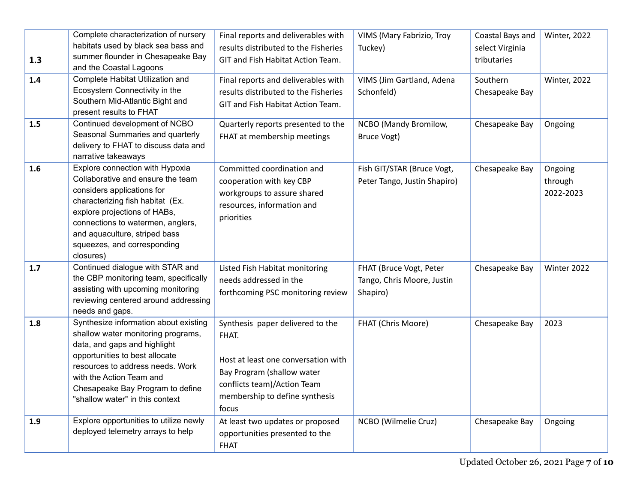| 1.3<br>1.4 | Complete characterization of nursery<br>habitats used by black sea bass and<br>summer flounder in Chesapeake Bay<br>and the Coastal Lagoons<br>Complete Habitat Utilization and<br>Ecosystem Connectivity in the<br>Southern Mid-Atlantic Bight and                                      | Final reports and deliverables with<br>results distributed to the Fisheries<br>GIT and Fish Habitat Action Team.<br>Final reports and deliverables with<br>results distributed to the Fisheries<br>GIT and Fish Habitat Action Team. | VIMS (Mary Fabrizio, Troy<br>Tuckey)<br>VIMS (Jim Gartland, Adena<br>Schonfeld) | Coastal Bays and<br>select Virginia<br>tributaries<br>Southern<br>Chesapeake Bay | Winter, 2022<br><b>Winter, 2022</b> |
|------------|------------------------------------------------------------------------------------------------------------------------------------------------------------------------------------------------------------------------------------------------------------------------------------------|--------------------------------------------------------------------------------------------------------------------------------------------------------------------------------------------------------------------------------------|---------------------------------------------------------------------------------|----------------------------------------------------------------------------------|-------------------------------------|
| 1.5        | present results to FHAT<br>Continued development of NCBO<br>Seasonal Summaries and quarterly<br>delivery to FHAT to discuss data and<br>narrative takeaways                                                                                                                              | Quarterly reports presented to the<br>FHAT at membership meetings                                                                                                                                                                    | NCBO (Mandy Bromilow,<br>Bruce Vogt)                                            | Chesapeake Bay                                                                   | Ongoing                             |
| 1.6        | Explore connection with Hypoxia<br>Collaborative and ensure the team<br>considers applications for<br>characterizing fish habitat (Ex.<br>explore projections of HABs,<br>connections to watermen, anglers,<br>and aquaculture, striped bass<br>squeezes, and corresponding<br>closures) | Committed coordination and<br>cooperation with key CBP<br>workgroups to assure shared<br>resources, information and<br>priorities                                                                                                    | Fish GIT/STAR (Bruce Vogt,<br>Peter Tango, Justin Shapiro)                      | Chesapeake Bay                                                                   | Ongoing<br>through<br>2022-2023     |
| 1.7        | Continued dialogue with STAR and<br>the CBP monitoring team, specifically<br>assisting with upcoming monitoring<br>reviewing centered around addressing<br>needs and gaps.                                                                                                               | Listed Fish Habitat monitoring<br>needs addressed in the<br>forthcoming PSC monitoring review                                                                                                                                        | FHAT (Bruce Vogt, Peter<br>Tango, Chris Moore, Justin<br>Shapiro)               | Chesapeake Bay                                                                   | Winter 2022                         |
| 1.8        | Synthesize information about existing<br>shallow water monitoring programs,<br>data, and gaps and highlight<br>opportunities to best allocate<br>resources to address needs. Work<br>with the Action Team and<br>Chesapeake Bay Program to define<br>"shallow water" in this context     | Synthesis paper delivered to the<br>FHAT.<br>Host at least one conversation with<br>Bay Program (shallow water<br>conflicts team)/Action Team<br>membership to define synthesis<br>focus                                             | FHAT (Chris Moore)                                                              | Chesapeake Bay                                                                   | 2023                                |
| 1.9        | Explore opportunities to utilize newly<br>deployed telemetry arrays to help                                                                                                                                                                                                              | At least two updates or proposed<br>opportunities presented to the<br><b>FHAT</b>                                                                                                                                                    | NCBO (Wilmelie Cruz)                                                            | Chesapeake Bay                                                                   | Ongoing                             |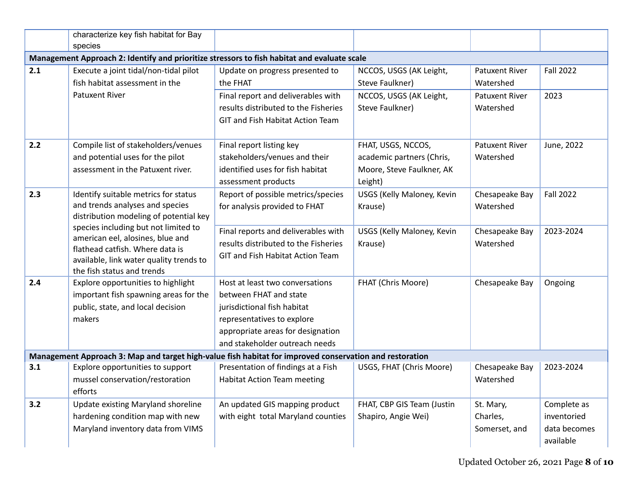|     | characterize key fish habitat for Bay<br>species                                                                                                                                     |                                                                                                                                                                                               |                                                                                         |                                        |                                                         |
|-----|--------------------------------------------------------------------------------------------------------------------------------------------------------------------------------------|-----------------------------------------------------------------------------------------------------------------------------------------------------------------------------------------------|-----------------------------------------------------------------------------------------|----------------------------------------|---------------------------------------------------------|
|     | Management Approach 2: Identify and prioritize stressors to fish habitat and evaluate scale                                                                                          |                                                                                                                                                                                               |                                                                                         |                                        |                                                         |
| 2.1 | Execute a joint tidal/non-tidal pilot<br>fish habitat assessment in the                                                                                                              | Update on progress presented to<br>the FHAT                                                                                                                                                   | NCCOS, USGS (AK Leight,<br>Steve Faulkner)                                              | <b>Patuxent River</b><br>Watershed     | <b>Fall 2022</b>                                        |
|     | Patuxent River                                                                                                                                                                       | Final report and deliverables with<br>results distributed to the Fisheries<br>GIT and Fish Habitat Action Team                                                                                | NCCOS, USGS (AK Leight,<br>Steve Faulkner)                                              | <b>Patuxent River</b><br>Watershed     | 2023                                                    |
| 2.2 | Compile list of stakeholders/venues<br>and potential uses for the pilot<br>assessment in the Patuxent river.                                                                         | Final report listing key<br>stakeholders/venues and their<br>identified uses for fish habitat<br>assessment products                                                                          | FHAT, USGS, NCCOS,<br>academic partners (Chris,<br>Moore, Steve Faulkner, AK<br>Leight) | Patuxent River<br>Watershed            | June, 2022                                              |
| 2.3 | Identify suitable metrics for status<br>and trends analyses and species<br>distribution modeling of potential key                                                                    | Report of possible metrics/species<br>for analysis provided to FHAT                                                                                                                           | <b>USGS (Kelly Maloney, Kevin</b><br>Krause)                                            | Chesapeake Bay<br>Watershed            | <b>Fall 2022</b>                                        |
|     | species including but not limited to<br>american eel, alosines, blue and<br>flathead catfish. Where data is<br>available, link water quality trends to<br>the fish status and trends | Final reports and deliverables with<br>results distributed to the Fisheries<br>GIT and Fish Habitat Action Team                                                                               | USGS (Kelly Maloney, Kevin<br>Krause)                                                   | Chesapeake Bay<br>Watershed            | 2023-2024                                               |
| 2.4 | Explore opportunities to highlight<br>important fish spawning areas for the<br>public, state, and local decision<br>makers                                                           | Host at least two conversations<br>between FHAT and state<br>jurisdictional fish habitat<br>representatives to explore<br>appropriate areas for designation<br>and stakeholder outreach needs | FHAT (Chris Moore)                                                                      | Chesapeake Bay                         | Ongoing                                                 |
|     | Management Approach 3: Map and target high-value fish habitat for improved conservation and restoration                                                                              |                                                                                                                                                                                               |                                                                                         |                                        |                                                         |
| 3.1 | Explore opportunities to support<br>mussel conservation/restoration<br>efforts                                                                                                       | Presentation of findings at a Fish<br><b>Habitat Action Team meeting</b>                                                                                                                      | USGS, FHAT (Chris Moore)                                                                | Chesapeake Bay<br>Watershed            | 2023-2024                                               |
| 3.2 | Update existing Maryland shoreline<br>hardening condition map with new<br>Maryland inventory data from VIMS                                                                          | An updated GIS mapping product<br>with eight total Maryland counties                                                                                                                          | FHAT, CBP GIS Team (Justin<br>Shapiro, Angie Wei)                                       | St. Mary,<br>Charles,<br>Somerset, and | Complete as<br>inventoried<br>data becomes<br>available |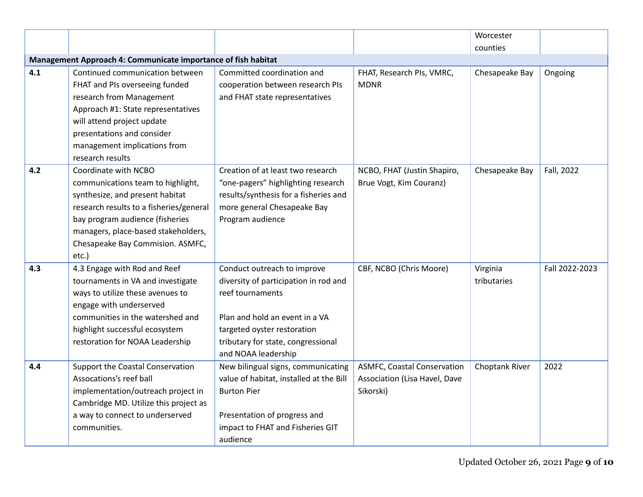|     |                                                                                                                                                                                                                                                                |                                                                                                                                                                                                                        |                                                                                  | Worcester               |                |
|-----|----------------------------------------------------------------------------------------------------------------------------------------------------------------------------------------------------------------------------------------------------------------|------------------------------------------------------------------------------------------------------------------------------------------------------------------------------------------------------------------------|----------------------------------------------------------------------------------|-------------------------|----------------|
|     |                                                                                                                                                                                                                                                                |                                                                                                                                                                                                                        |                                                                                  | counties                |                |
|     | Management Approach 4: Communicate importance of fish habitat                                                                                                                                                                                                  |                                                                                                                                                                                                                        |                                                                                  |                         |                |
| 4.1 | Continued communication between<br>FHAT and PIs overseeing funded<br>research from Management<br>Approach #1: State representatives<br>will attend project update<br>presentations and consider<br>management implications from<br>research results            | Committed coordination and<br>cooperation between research PIs<br>and FHAT state representatives                                                                                                                       | FHAT, Research PIs, VMRC,<br><b>MDNR</b>                                         | Chesapeake Bay          | Ongoing        |
| 4.2 | Coordinate with NCBO<br>communications team to highlight,<br>synthesize, and present habitat<br>research results to a fisheries/general<br>bay program audience (fisheries<br>managers, place-based stakeholders,<br>Chesapeake Bay Commision. ASMFC,<br>etc.) | Creation of at least two research<br>"one-pagers" highlighting research<br>results/synthesis for a fisheries and<br>more general Chesapeake Bay<br>Program audience                                                    | NCBO, FHAT (Justin Shapiro,<br>Brue Vogt, Kim Couranz)                           | Chesapeake Bay          | Fall, 2022     |
| 4.3 | 4.3 Engage with Rod and Reef<br>tournaments in VA and investigate<br>ways to utilize these avenues to<br>engage with underserved<br>communities in the watershed and<br>highlight successful ecosystem<br>restoration for NOAA Leadership                      | Conduct outreach to improve<br>diversity of participation in rod and<br>reef tournaments<br>Plan and hold an event in a VA<br>targeted oyster restoration<br>tributary for state, congressional<br>and NOAA leadership | CBF, NCBO (Chris Moore)                                                          | Virginia<br>tributaries | Fall 2022-2023 |
| 4.4 | Support the Coastal Conservation<br>Assocations's reef ball<br>implementation/outreach project in<br>Cambridge MD. Utilize this project as<br>a way to connect to underserved<br>communities.                                                                  | New bilingual signs, communicating<br>value of habitat, installed at the Bill<br><b>Burton Pier</b><br>Presentation of progress and<br>impact to FHAT and Fisheries GIT<br>audience                                    | <b>ASMFC, Coastal Conservation</b><br>Association (Lisa Havel, Dave<br>Sikorski) | Choptank River          | 2022           |